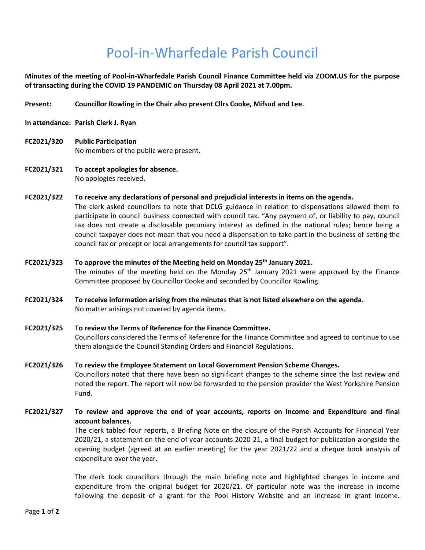# Pool-in-Wharfedale Parish Council

**Minutes of the meeting of Pool-in-Wharfedale Parish Council Finance Committee held via ZOOM.US for the purpose of transacting during the COVID 19 PANDEMIC on Thursday 08 April 2021 at 7.00pm.** 

- **Present: Councillor Rowling in the Chair also present Cllrs Cooke, Mifsud and Lee.**
- **In attendance: Parish Clerk J. Ryan**
- **FC2021/320 Public Participation**  No members of the public were present.
- **FC2021/321 To accept apologies for absence.** No apologies received.
- **FC2021/322 To receive any declarations of personal and prejudicial interests in items on the agenda.** The clerk asked councillors to note that DCLG guidance in relation to dispensations allowed them to participate in council business connected with council tax. "Any payment of, or liability to pay, council tax does not create a disclosable pecuniary interest as defined in the national rules; hence being a council taxpayer does not mean that you need a dispensation to take part in the business of setting the council tax or precept or local arrangements for council tax support".
- **FC2021/323 To approve the minutes of the Meeting held on Monday 25th January 2021.**  The minutes of the meeting held on the Monday  $25<sup>th</sup>$  January 2021 were approved by the Finance Committee proposed by Councillor Cooke and seconded by Councillor Rowling.
- **FC2021/324 To receive information arising from the minutes that is not listed elsewhere on the agenda.** No matter arisings not covered by agenda items.
- **FC2021/325 To review the Terms of Reference for the Finance Committee.** Councillors considered the Terms of Reference for the Finance Committee and agreed to continue to use them alongside the Council Standing Orders and Financial Regulations.
- **FC2021/326 To review the Employee Statement on Local Government Pension Scheme Changes.**  Councillors noted that there have been no significant changes to the scheme since the last review and noted the report. The report will now be forwarded to the pension provider the West Yorkshire Pension Fund.
- **FC2021/327 To review and approve the end of year accounts, reports on Income and Expenditure and final account balances.**

The clerk tabled four reports, a Briefing Note on the closure of the Parish Accounts for Financial Year 2020/21, a statement on the end of year accounts 2020-21, a final budget for publication alongside the opening budget (agreed at an earlier meeting) for the year 2021/22 and a cheque book analysis of expenditure over the year.

The clerk took councillors through the main briefing note and highlighted changes in income and expenditure from the original budget for 2020/21. Of particular note was the increase in income following the deposit of a grant for the Pool History Website and an increase in grant income.